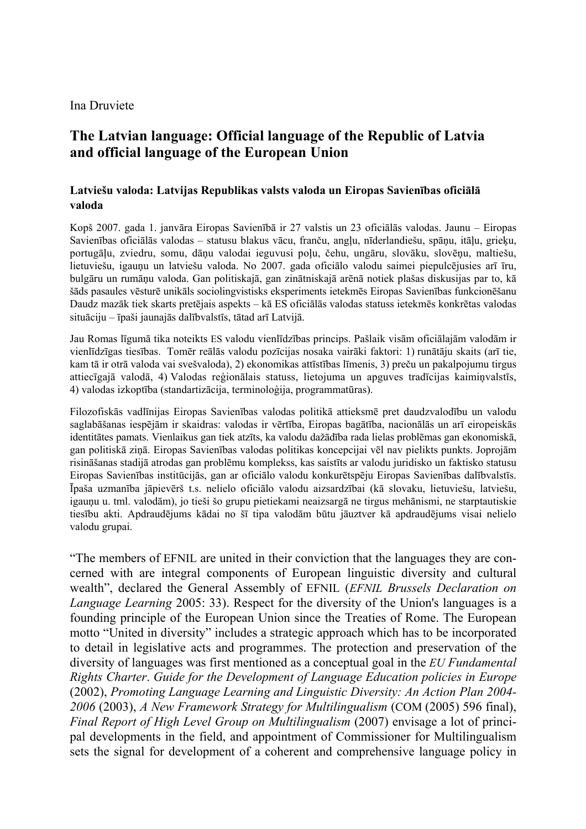## Ina Druviete

## **The Latvian language: Official language of the Republic of Latvia and official language of the European Union**

## **Latviešu valoda: Latvijas Republikas valsts valoda un Eiropas Savienības oficiālā valoda**

Kopš 2007. gada 1. janvāra Eiropas Savienībā ir 27 valstis un 23 oficiālās valodas. Jaunu – Eiropas Savienības oficiālās valodas – statusu blakus vācu, franču, angļu, nīderlandiešu, spāņu, itāļu, grieķu, portugāļu, zviedru, somu, dāņu valodai ieguvusi poļu, čehu, ungāru, slovāku, slovēņu, maltiešu, lietuviešu, igauņu un latviešu valoda. No 2007. gada oficiālo valodu saimei piepulcējusies arī īru, bulgāru un rumāņu valoda. Gan politiskajā, gan zinātniskajā arēnā notiek plašas diskusijas par to, kā šāds pasaules vēsturē unikāls sociolingvistisks eksperiments ietekmēs Eiropas Savienības funkcionēšanu Daudz mazāk tiek skarts pretējais aspekts – kā ES oficiālās valodas statuss ietekmēs konkrētas valodas situāciju – īpaši jaunajās dalībvalstīs, tātad arī Latvijā.

Jau Romas līgumā tika noteikts ES valodu vienlīdzības princips. Pašlaik visām oficiālajām valodām ir vienlīdzīgas tiesības. Tomēr reālās valodu pozīcijas nosaka vairāki faktori: 1) runātāju skaits (arī tie, kam tā ir otrā valoda vai svešvaloda), 2) ekonomikas attīstības līmenis, 3) preču un pakalpojumu tirgus attiecīgajā valodā, 4) Valodas reģionālais statuss, lietojuma un apguves tradīcijas kaimiņvalstīs, 4) valodas izkoptība (standartizācija, terminoloģija, programmatūras).

Filozofiskās vadlīnijas Eiropas Savienības valodas politikā attieksmē pret daudzvalodību un valodu saglabāšanas iespējām ir skaidras: valodas ir vērtība, Eiropas bagātība, nacionālās un arī eiropeiskās identitātes pamats. Vienlaikus gan tiek atzīts, ka valodu dažādība rada lielas problēmas gan ekonomiskā, gan politiskā ziņā. Eiropas Savienības valodas politikas koncepcijai vēl nav pielikts punkts. Joprojām risināšanas stadijā atrodas gan problēmu komplekss, kas saistīts ar valodu juridisko un faktisko statusu Eiropas Savienības institūcijās, gan ar oficiālo valodu konkurētspēju Eiropas Savienības dalībvalstīs. Īpaša uzmanība jāpievērš t.s. nelielo oficiālo valodu aizsardzībai (kā slovaku, lietuviešu, latviešu, igauņu u. tml. valodām), jo tieši šo grupu pietiekami neaizsargā ne tirgus mehānismi, ne starptautiskie tiesību akti. Apdraudējums kādai no šī tipa valodām būtu jāuztver kā apdraudējums visai nelielo valodu grupai.

"The members of EFNIL are united in their conviction that the languages they are concerned with are integral components of European linguistic diversity and cultural wealth", declared the General Assembly of EFNIL (*EFNIL Brussels Declaration on Language Learning* 2005: 33). Respect for the diversity of the Union's languages is a founding principle of the European Union since the Treaties of Rome. The European motto "United in diversity" includes a strategic approach which has to be incorporated to detail in legislative acts and programmes. The protection and preservation of the diversity of languages was first mentioned as a conceptual goal in the *EU Fundamental Rights Charter*. *Guide for the Development of Language Education policies in Europe* (2002), *Promoting Language Learning and Linguistic Diversity: An Action Plan 2004- 2006* (2003), *A New Framework Strategy for Multilingualism* (COM (2005) 596 final), *Final Report of High Level Group on Multilingualism* (2007) envisage a lot of principal developments in the field, and appointment of Commissioner for Multilingualism sets the signal for development of a coherent and comprehensive language policy in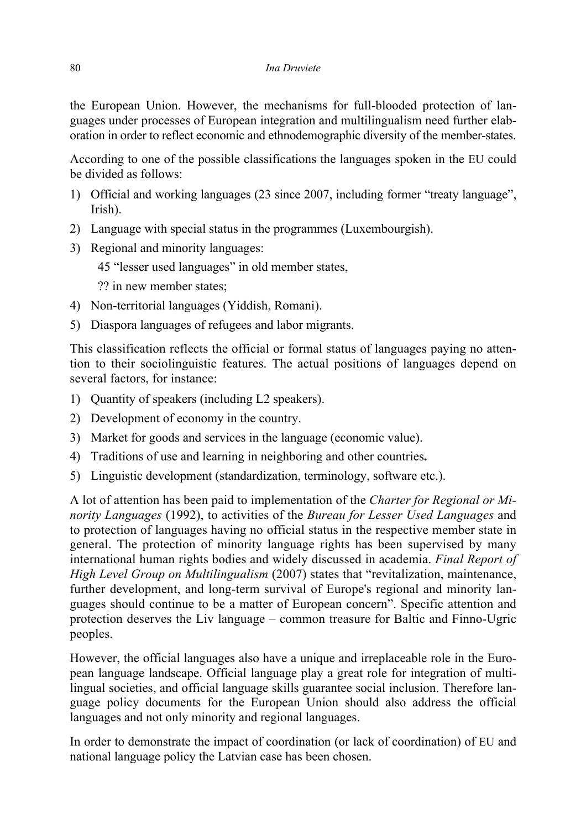the European Union. However, the mechanisms for full-blooded protection of languages under processes of European integration and multilingualism need further elaboration in order to reflect economic and ethnodemographic diversity of the member-states.

According to one of the possible classifications the languages spoken in the EU could be divided as follows:

- 1) Official and working languages (23 since 2007, including former "treaty language", Irish).
- 2) Language with special status in the programmes (Luxembourgish).
- 3) Regional and minority languages:

45 "lesser used languages" in old member states,

?? in new member states;

- 4) Non-territorial languages (Yiddish, Romani).
- 5) Diaspora languages of refugees and labor migrants.

This classification reflects the official or formal status of languages paying no attention to their sociolinguistic features. The actual positions of languages depend on several factors, for instance:

- 1) Quantity of speakers (including L2 speakers).
- 2) Development of economy in the country.
- 3) Market for goods and services in the language (economic value).
- 4) Traditions of use and learning in neighboring and other countries**.**
- 5) Linguistic development (standardization, terminology, software etc.).

A lot of attention has been paid to implementation of the *Charter for Regional or Minority Languages* (1992), to activities of the *Bureau for Lesser Used Languages* and to protection of languages having no official status in the respective member state in general. The protection of minority language rights has been supervised by many international human rights bodies and widely discussed in academia. *Final Report of High Level Group on Multilingualism* (2007) states that "revitalization, maintenance, further development, and long-term survival of Europe's regional and minority languages should continue to be a matter of European concern". Specific attention and protection deserves the Liv language – common treasure for Baltic and Finno-Ugric peoples.

However, the official languages also have a unique and irreplaceable role in the European language landscape. Official language play a great role for integration of multilingual societies, and official language skills guarantee social inclusion. Therefore language policy documents for the European Union should also address the official languages and not only minority and regional languages.

In order to demonstrate the impact of coordination (or lack of coordination) of EU and national language policy the Latvian case has been chosen.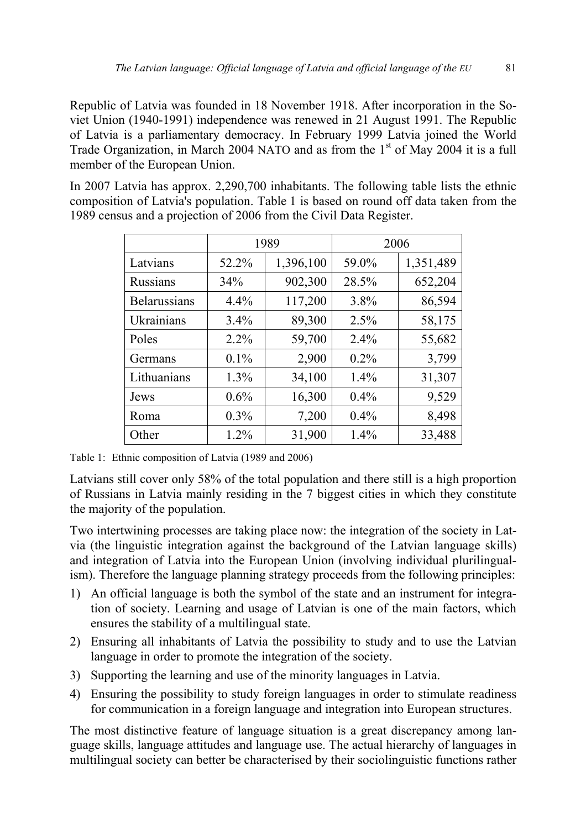Republic of Latvia was founded in 18 November 1918. After incorporation in the Soviet Union (1940-1991) independence was renewed in 21 August 1991. The Republic of Latvia is a parliamentary democracy. In February 1999 Latvia joined the World Trade Organization, in March 2004 NATO and as from the  $1<sup>st</sup>$  of May 2004 it is a full member of the European Union.

In 2007 Latvia has approx. 2,290,700 inhabitants. The following table lists the ethnic composition of Latvia's population. Table 1 is based on round off data taken from the 1989 census and a projection of 2006 from the Civil Data Register.

|                     | 1989    |           | 2006    |           |
|---------------------|---------|-----------|---------|-----------|
| Latvians            | 52.2%   | 1,396,100 | 59.0%   | 1,351,489 |
| <b>Russians</b>     | 34%     | 902,300   | 28.5%   | 652,204   |
| <b>Belarussians</b> | 4.4%    | 117,200   | 3.8%    | 86,594    |
| Ukrainians          | 3.4%    | 89,300    | 2.5%    | 58,175    |
| Poles               | 2.2%    | 59,700    | 2.4%    | 55,682    |
| Germans             | 0.1%    | 2,900     | $0.2\%$ | 3,799     |
| Lithuanians         | 1.3%    | 34,100    | 1.4%    | 31,307    |
| Jews                | 0.6%    | 16,300    | 0.4%    | 9,529     |
| Roma                | $0.3\%$ | 7,200     | $0.4\%$ | 8,498     |
| Other               | 1.2%    | 31,900    | 1.4%    | 33,488    |

Table 1: Ethnic composition of Latvia (1989 and 2006)

Latvians still cover only 58% of the total population and there still is a high proportion of Russians in Latvia mainly residing in the 7 biggest cities in which they constitute the majority of the population.

Two intertwining processes are taking place now: the integration of the society in Latvia (the linguistic integration against the background of the Latvian language skills) and integration of Latvia into the European Union (involving individual plurilingualism). Therefore the language planning strategy proceeds from the following principles:

- 1) An official language is both the symbol of the state and an instrument for integration of society. Learning and usage of Latvian is one of the main factors, which ensures the stability of a multilingual state.
- 2) Ensuring all inhabitants of Latvia the possibility to study and to use the Latvian language in order to promote the integration of the society.
- 3) Supporting the learning and use of the minority languages in Latvia.
- 4) Ensuring the possibility to study foreign languages in order to stimulate readiness for communication in a foreign language and integration into European structures.

The most distinctive feature of language situation is a great discrepancy among language skills, language attitudes and language use. The actual hierarchy of languages in multilingual society can better be characterised by their sociolinguistic functions rather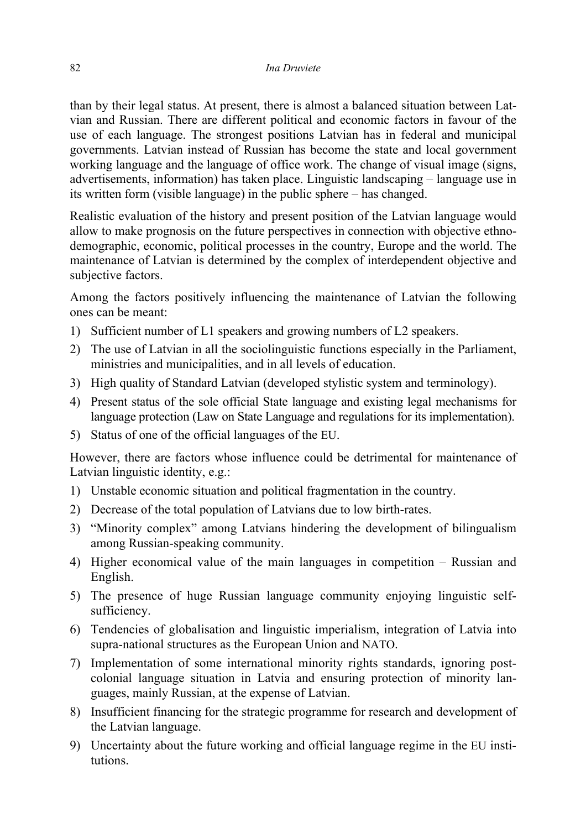than by their legal status. At present, there is almost a balanced situation between Latvian and Russian. There are different political and economic factors in favour of the use of each language. The strongest positions Latvian has in federal and municipal governments. Latvian instead of Russian has become the state and local government working language and the language of office work. The change of visual image (signs, advertisements, information) has taken place. Linguistic landscaping – language use in its written form (visible language) in the public sphere – has changed.

Realistic evaluation of the history and present position of the Latvian language would allow to make prognosis on the future perspectives in connection with objective ethnodemographic, economic, political processes in the country, Europe and the world. The maintenance of Latvian is determined by the complex of interdependent objective and subjective factors.

Among the factors positively influencing the maintenance of Latvian the following ones can be meant:

- 1) Sufficient number of L1 speakers and growing numbers of L2 speakers.
- 2) The use of Latvian in all the sociolinguistic functions especially in the Parliament, ministries and municipalities, and in all levels of education.
- 3) High quality of Standard Latvian (developed stylistic system and terminology).
- 4) Present status of the sole official State language and existing legal mechanisms for language protection (Law on State Language and regulations for its implementation).
- 5) Status of one of the official languages of the EU.

However, there are factors whose influence could be detrimental for maintenance of Latvian linguistic identity, e.g.:

- 1) Unstable economic situation and political fragmentation in the country.
- 2) Decrease of the total population of Latvians due to low birth-rates.
- 3) "Minority complex" among Latvians hindering the development of bilingualism among Russian-speaking community.
- 4) Higher economical value of the main languages in competition Russian and English.
- 5) The presence of huge Russian language community enjoying linguistic selfsufficiency.
- 6) Tendencies of globalisation and linguistic imperialism, integration of Latvia into supra-national structures as the European Union and NATO.
- 7) Implementation of some international minority rights standards, ignoring postcolonial language situation in Latvia and ensuring protection of minority languages, mainly Russian, at the expense of Latvian.
- 8) Insufficient financing for the strategic programme for research and development of the Latvian language.
- 9) Uncertainty about the future working and official language regime in the EU institutions.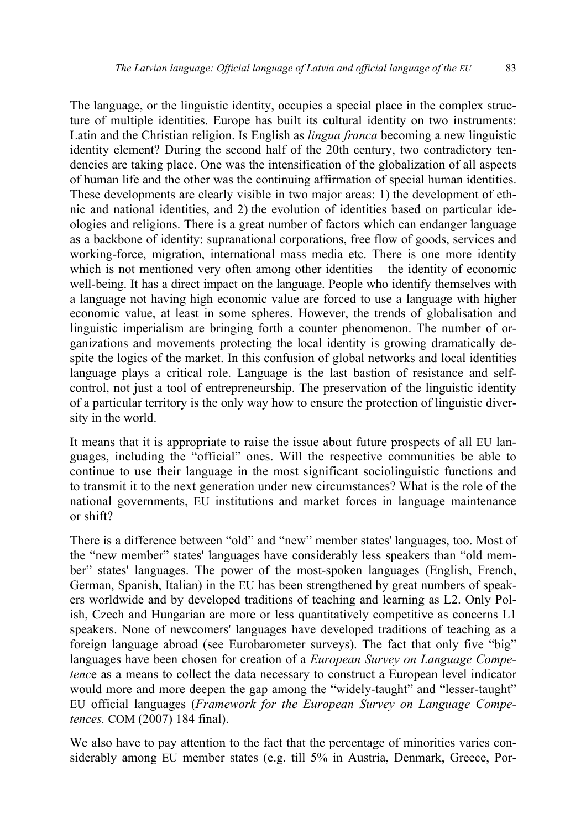The language, or the linguistic identity, occupies a special place in the complex structure of multiple identities. Europe has built its cultural identity on two instruments: Latin and the Christian religion. Is English as *lingua franca* becoming a new linguistic identity element? During the second half of the 20th century, two contradictory tendencies are taking place. One was the intensification of the globalization of all aspects of human life and the other was the continuing affirmation of special human identities. These developments are clearly visible in two major areas: 1) the development of ethnic and national identities, and 2) the evolution of identities based on particular ideologies and religions. There is a great number of factors which can endanger language as a backbone of identity: supranational corporations, free flow of goods, services and working-force, migration, international mass media etc. There is one more identity which is not mentioned very often among other identities – the identity of economic well-being. It has a direct impact on the language. People who identify themselves with a language not having high economic value are forced to use a language with higher economic value, at least in some spheres. However, the trends of globalisation and linguistic imperialism are bringing forth a counter phenomenon. The number of organizations and movements protecting the local identity is growing dramatically despite the logics of the market. In this confusion of global networks and local identities language plays a critical role. Language is the last bastion of resistance and selfcontrol, not just a tool of entrepreneurship. The preservation of the linguistic identity of a particular territory is the only way how to ensure the protection of linguistic diversity in the world.

It means that it is appropriate to raise the issue about future prospects of all EU languages, including the "official" ones. Will the respective communities be able to continue to use their language in the most significant sociolinguistic functions and to transmit it to the next generation under new circumstances? What is the role of the national governments, EU institutions and market forces in language maintenance or shift?

There is a difference between "old" and "new" member states' languages, too. Most of the "new member" states' languages have considerably less speakers than "old member" states' languages. The power of the most-spoken languages (English, French, German, Spanish, Italian) in the EU has been strengthened by great numbers of speakers worldwide and by developed traditions of teaching and learning as L2. Only Polish, Czech and Hungarian are more or less quantitatively competitive as concerns L1 speakers. None of newcomers' languages have developed traditions of teaching as a foreign language abroad (see Eurobarometer surveys). The fact that only five "big" languages have been chosen for creation of a *European Survey on Language Competenc*e as a means to collect the data necessary to construct a European level indicator would more and more deepen the gap among the "widely-taught" and "lesser-taught" EU official languages (*Framework for the European Survey on Language Competences.* COM (2007) 184 final).

We also have to pay attention to the fact that the percentage of minorities varies considerably among EU member states (e.g. till 5% in Austria, Denmark, Greece, Por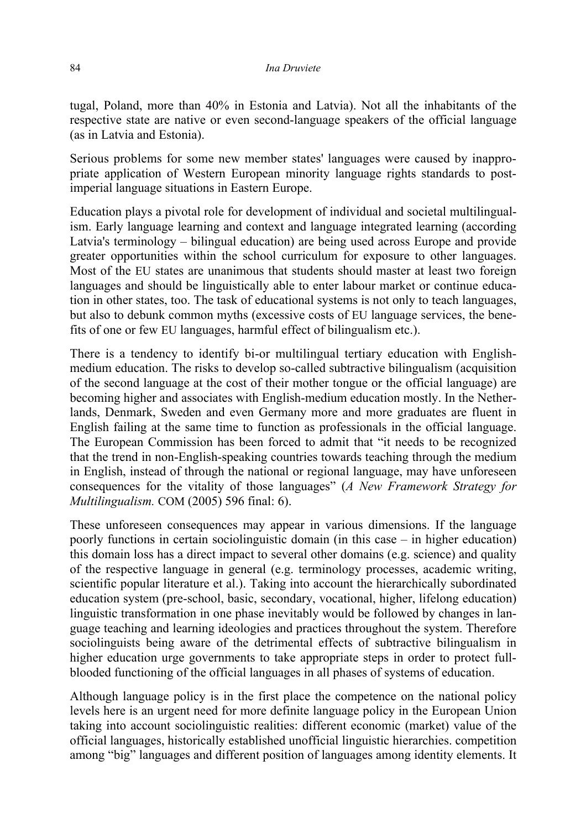tugal, Poland, more than 40% in Estonia and Latvia). Not all the inhabitants of the respective state are native or even second-language speakers of the official language (as in Latvia and Estonia).

Serious problems for some new member states' languages were caused by inappropriate application of Western European minority language rights standards to postimperial language situations in Eastern Europe.

Education plays a pivotal role for development of individual and societal multilingualism. Early language learning and context and language integrated learning (according Latvia's terminology – bilingual education) are being used across Europe and provide greater opportunities within the school curriculum for exposure to other languages. Most of the EU states are unanimous that students should master at least two foreign languages and should be linguistically able to enter labour market or continue education in other states, too. The task of educational systems is not only to teach languages, but also to debunk common myths (excessive costs of EU language services, the benefits of one or few EU languages, harmful effect of bilingualism etc.).

There is a tendency to identify bi-or multilingual tertiary education with Englishmedium education. The risks to develop so-called subtractive bilingualism (acquisition of the second language at the cost of their mother tongue or the official language) are becoming higher and associates with English-medium education mostly. In the Netherlands, Denmark, Sweden and even Germany more and more graduates are fluent in English failing at the same time to function as professionals in the official language. The European Commission has been forced to admit that "it needs to be recognized that the trend in non-English-speaking countries towards teaching through the medium in English, instead of through the national or regional language, may have unforeseen consequences for the vitality of those languages" (*A New Framework Strategy for Multilingualism.* COM (2005) 596 final: 6).

These unforeseen consequences may appear in various dimensions. If the language poorly functions in certain sociolinguistic domain (in this case – in higher education) this domain loss has a direct impact to several other domains (e.g. science) and quality of the respective language in general (e.g. terminology processes, academic writing, scientific popular literature et al.). Taking into account the hierarchically subordinated education system (pre-school, basic, secondary, vocational, higher, lifelong education) linguistic transformation in one phase inevitably would be followed by changes in language teaching and learning ideologies and practices throughout the system. Therefore sociolinguists being aware of the detrimental effects of subtractive bilingualism in higher education urge governments to take appropriate steps in order to protect fullblooded functioning of the official languages in all phases of systems of education.

Although language policy is in the first place the competence on the national policy levels here is an urgent need for more definite language policy in the European Union taking into account sociolinguistic realities: different economic (market) value of the official languages, historically established unofficial linguistic hierarchies. competition among "big" languages and different position of languages among identity elements. It